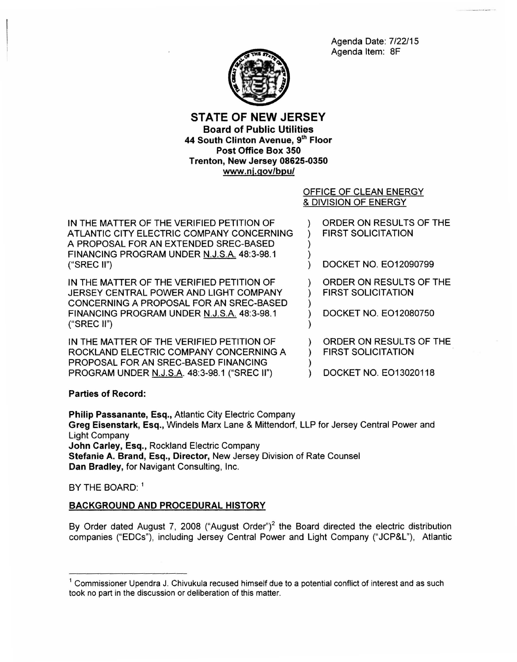Agenda Date: 7/22/15 Agenda Item: 8F



# STATE OF NEW JERSEY Board of Public Utilities 44 South Clinton Avenue, 9th Floor Post Office Box 350 Trenton, New Jersey 08625-0350 www .nj.gov/bpu/

### OFFICE OF CLEAN ENERGY & DIVISION OF ENERGY

| IN THE MATTER OF THE VERIFIED PETITION OF<br>ATLANTIC CITY ELECTRIC COMPANY CONCERNING<br>A PROPOSAL FOR AN EXTENDED SREC-BASED<br>FINANCING PROGRAM UNDER N.J.S.A. 48:3-98.1<br>("SREC II") | ORDER ON RESULTS OF THE<br><b>FIRST SOLICITATION</b><br>DOCKET NO. EO12090799 |
|----------------------------------------------------------------------------------------------------------------------------------------------------------------------------------------------|-------------------------------------------------------------------------------|
| IN THE MATTER OF THE VERIFIED PETITION OF<br>JERSEY CENTRAL POWER AND LIGHT COMPANY<br>CONCERNING A PROPOSAL FOR AN SREC-BASED<br>FINANCING PROGRAM UNDER N.J.S.A. 48:3-98.1<br>("SREC II")  | ORDER ON RESULTS OF THE<br><b>FIRST SOLICITATION</b><br>DOCKET NO. EO12080750 |
| IN THE MATTER OF THE VERIFIED PETITION OF<br>ROCKLAND ELECTRIC COMPANY CONCERNING A<br>PROPOSAL FOR AN SREC-BASED FINANCING                                                                  | ORDER ON RESULTS OF THE<br><b>FIRST SOLICITATION</b>                          |

DOCKET NO. EO13020118

## Parties of Record:

Philip Passanante, Esq., Atlantic City Electric Company Greg Eisenstark, Esq., Windels Marx Lane & Mittendorf, LLP for Jersey Central Power and Light Company John Carley, Esq., Rockland Electric Company Stefanie A. Brand, Esq., Director, New Jersey Division of Rate Counsel Dan Bradley, for Navigant Consulting, Inc.

BY THE BOARD: <sup>1</sup>

## BACKGROUND AND PROCEDURAL HISTORY

PROGRAM UNDER N.J.S.A. 48:3-98.1 ("SREC II")

By Order dated August 7, 2008 ("August Order")<sup>2</sup> the Board directed the electric distribution companies ("EDCs"), including Jersey Central Power and Light Company ("JCP&L"), Atlantic

 $1$  Commissioner Upendra J. Chivukula recused himself due to a potential conflict of interest and as such took no part in the discussion or deliberation of this matter.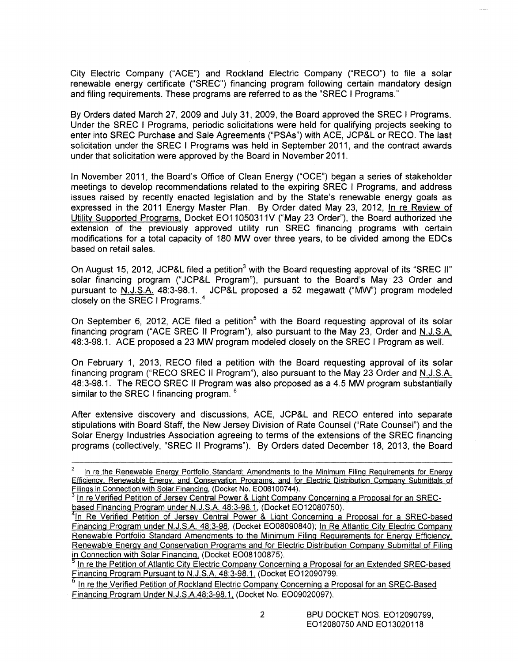City Electric Company ("ACE") and Rockland Electric Company ("RECO") to file a solar renewable energy certificate ("SREC") financing program following certain mandatory design and filing requirements. These programs are referred to as the "SREC I Programs."

By Orders dated March 27, 2009 and July 31, 2009, the Board approved the SREC I Programs. Under the SREC I Programs, periodic solicitations were held for qualifying projects seeking to enter into SREC Purchase and Sale Agreements ("PSAs") with ACE, JCP&L or RECO. The last solicitation under the SREC I Programs was held in September 2011, and the contract awards under that solicitation were approved by the Board in November 2011.

In November 2011, the Board's Office of Clean Energy ("OCE") began a series of stakeholder meetings to develop recommendations related to the expiring SREC I Programs, and address issues raised by recently enacted legislation and by the State's renewable energy goals as expressed in the 2011 Energy Master Plan. By Order dated May 23, 2012, In re Review of Utility Supported Programs, Docket E011050311V ("May 23 Order''), the Board authorized the extension of the previously approved utility run SREC financing programs with certain modifications for a total capacity of 180 MW over three years, to be divided among the EDCs based on retail sales.

On August 15, 2012, JCP&L filed a petition<sup>3</sup> with the Board requesting approval of its "SREC II" solar financing program ("JCP&L Program"), pursuant to the Board's May 23 Order and pursuant to N.J.S.A. 48:3-98.1. JCP&L proposed a 52 megawatt ("MW") program modeled closely on the SREC I Programs.<sup>4</sup>

On September 6, 2012, ACE filed a petition<sup>5</sup> with the Board requesting approval of its solar financing program ("ACE SREC II Program"), also pursuant to the May 23, Order and N.J.S.A. 48:3-98.1. ACE proposed a 23 MW program modeled closely on the SREC I Program as well.

On February 1, 2013, RECO filed a petition with the Board requesting approval of its solar financing program ("RECO SREC II Program"), also pursuant to the May 23 Order and N.J.S.A. 48:3-98.1. The RECO SREC II Program was also proposed as a 4.5 MW program substantially similar to the SREC I financing program. <sup>6</sup>

After extensive discovery and discussions, ACE, JCP&L and RECO entered into separate stipulations with Board Staff, the New Jersey Division of Rate Counsel ("Rate Counsel") and the Solar Energy Industries Association agreeing to terms of the extensions of the SREC financing programs (collectively, "SREC II Programs"). By Orders dated December 18, 2013, the Board

In re the Renewable Energy Portfolio Standard: Amendments to the Minimum Filing Requirements for Energy Efficiency, Renewable Energy, and Conservation Programs, and for Electric Distribution Company Submittals of Filings in Connection with Solar Financing, (Docket No. E006100744).

In re Verified Petition of Jersey Central Power & Light Company Concerning a Proposal for an SRECbased Financing Program under N.J.S.A. 48:3-98.1, (Docket EO12080750).

In Re Verified Petition of Jersey Central Power & Light Concerning a Proposal for a SREC-based Financing Program under N.J.S.A. 48:3-98, (Docket E008090840); In Re Atlantic City Electric Company Renewable Portfolio Standard Amendments to the Minimum Filing Requirements for Energy Efficiency, Renewable Energy and Conservation Programs and for Electric Distribution Company Submittal of Filing in Connection with Solar Financing. (Docket EO08100875).<br><sup>5</sup> In re the Petition of Atlantic City Electric Company Concerning a Proposal for an Extended SREC-based

Financing Program Pursuant to N.J.S.A. 48:3-98.1. (Docket E012090799.

In re the Verified Petition of Rockland Electric Company Concerning a Proposal for an SREC-Based Financing Program Under N.J.S.A.48:3-98.1. (Docket No. E009020097).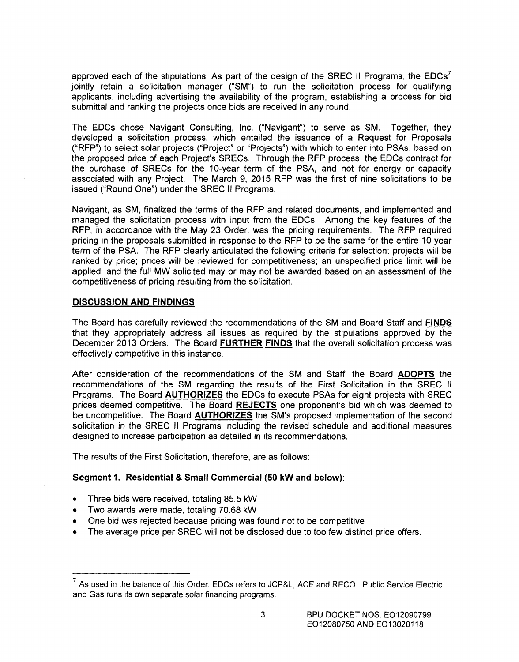approved each of the stipulations. As part of the design of the SREC II Programs, the  $EDCs<sup>7</sup>$ jointly retain a solicitation manager ("SM") to run the solicitation process for qualifying applicants, including advertising the availability of the program, establishing a process for bid submittal and ranking the projects once bids are received in any round.

The EDCs chose Navigant Consulting, Inc. ("Navigant") to serve as SM. Together, they developed a solicitation process, which entailed the issuance of a Request for Proposals ("RFP") to select solar projects ("Project" or "Projects") with which to enter into PSAs, based on the proposed price of each Project's SRECs. Through the RFP process, the EDCs contract for the purchase of SRECs for the 10-year term of the PSA, and not for energy or capacity associated with any Project. The March 9, 2015 RFP was the first of nine solicitations to be issued ("Round One") under the SREC II Programs.

Navigant, as SM, finalized the terms of the RFP and related documents, and implemented and managed the solicitation process with input from the EDCs. Among the key features of the RFP, in accordance with the May 23 Order, was the pricing requirements. The RFP required pricing in the proposals submitted in response to the RFP to be the same for the entire 10 year term of the PSA. The RFP clearly articulated the following criteria for selection: projects will be ranked by price; prices will be reviewed for competitiveness; an unspecified price limit will be applied; and the full MW solicited may or may not be awarded based on an assessment of the competitiveness of pricing resulting from the solicitation.

#### **DISCUSSION AND FINDINGS**

The Board has carefully reviewed the recommendations of the SM and Board Staff and **FINDS**  that they appropriately address all issues as required by the stipulations approved by the December 2013 Orders. The Board **FURTHER FINDS** that the overall solicitation process was effectively competitive in this instance.

After consideration of the recommendations of the SM and Staff, the Board **ADOPTS** the recommendations of the SM regarding the results of the First Solicitation in the SREC II Programs. The Board **AUTHORIZES** the EDCs to execute PSAs for eight projects with SREC prices deemed competitive. The Board **REJECTS** one proponent's bid which was deemed to be uncompetitive. The Board **AUTHORIZES** the SM's proposed implementation of the second solicitation in the SREC II Programs including the revised schedule and additional measures designed to increase participation as detailed in its recommendations.

The results of the First Solicitation, therefore, are as follows:

#### **Segment 1. Residential & Small Commercial (50 kW and below):**

- Three bids were received, totaling 85.5 kW
- Two awards were made, totaling 70.68 kW
- One bid was rejected because pricing was found not to be competitive
- The average price per SREC will not be disclosed due to too few distinct price offers.

 $7$  As used in the balance of this Order, EDCs refers to JCP&L, ACE and RECO. Public Service Electric and Gas runs its own separate solar financing programs.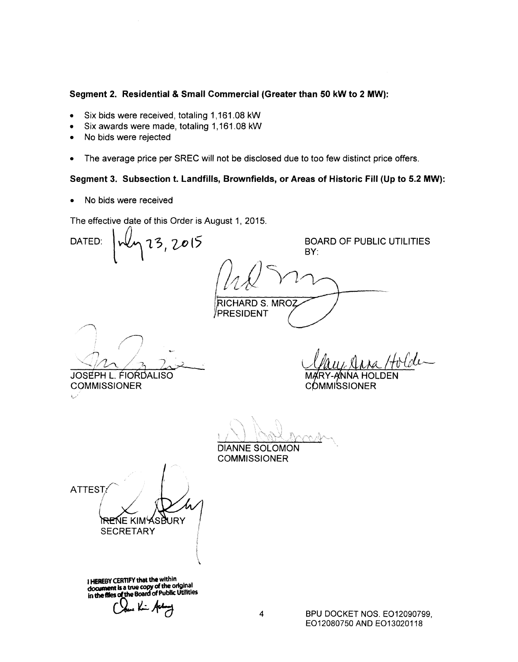### **Segment 2. Residential & Small Commercial (Greater than 50 kW to 2 MW):**

- Six bids were received, totaling 1,161.08 kW
- Six awards were made, totaling 1,161.08 kW
- No bids were rejected
- The average price per SREC will not be disclosed due to too few distinct price offers.

# **Segment 3. Subsection t. Landfills, Brownfields, or Areas of Historic Fill (Up to 5.2 MW):**

• No bids were received

The effective date of this Order is August 1, 2015.

DATED:  $\frac{1}{4}$  13, 2015 BOARD OF PUBLIC UTILITIES BY:  $111N$   $Y$   $V$ RICHARD S. MROZ iPRESIDENT */AJ* / JOSEPH L. FIORDALISO **COMMISSIONER** COMMISSIONER \_' f DIANNE SOLOMON **COMMISSIONER** ATTEST  $\sqrt{2}$ **\REN**E KIMYSBURY<br>SECRETARY 1 **HEREBY CER11FY that** the within

**c:tocument Is a true copy** of the original in the files of the Board of Public Utilities

Chen Kin Aday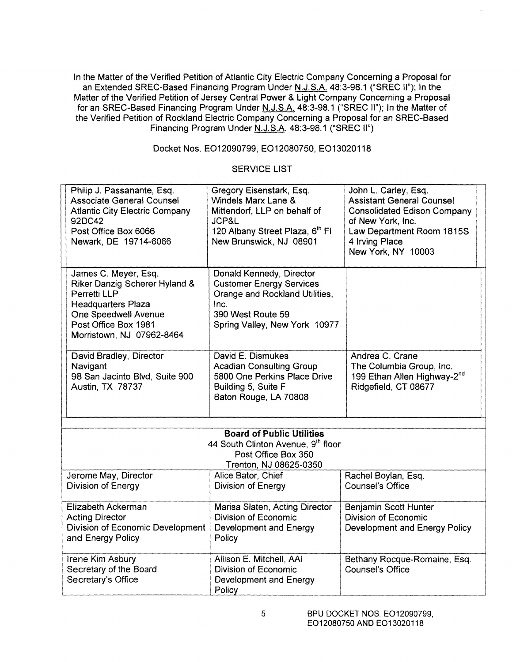In the Matter of the Verified Petition of Atlantic City Electric Company Concerning a Proposal for an Extended SREC-Based Financing Program Under N.J.S.A. 48:3-98.1 ("SREC II"); In the Matter of the Verified Petition of Jersey Central Power & Light Company Concerning a Proposal for an SREC-Based Financing Program Under N.J.S.A. 48:3-98.1 ("SREC II"); In the Matter of the Verified Petition of Rockland Electric Company Concerning a Proposal for an SREC-Based Financing Program Under N.J.S.A. 48:3-98.1 ("SREC II")

# Docket Nos. E012090799, E012080750, E013020118

#### SERVICE LIST

|                                                                                                                         | Philip J. Passanante, Esq.<br><b>Associate General Counsel</b><br><b>Atlantic City Electric Company</b><br>92DC42<br>Post Office Box 6066<br>Newark, DE 19714-6066              | Gregory Eisenstark, Esq.<br>Windels Marx Lane &<br>Mittendorf, LLP on behalf of<br>JCP&L<br>120 Albany Street Plaza, 6th Fl<br>New Brunswick, NJ 08901      | John L. Carley, Esq.<br><b>Assistant General Counsel</b><br><b>Consolidated Edison Company</b><br>of New York, Inc.<br>Law Department Room 1815S<br>4 Irving Place<br>New York, NY 10003 |  |
|-------------------------------------------------------------------------------------------------------------------------|---------------------------------------------------------------------------------------------------------------------------------------------------------------------------------|-------------------------------------------------------------------------------------------------------------------------------------------------------------|------------------------------------------------------------------------------------------------------------------------------------------------------------------------------------------|--|
|                                                                                                                         | James C. Meyer, Esq.<br>Riker Danzig Scherer Hyland &<br>Perretti LLP<br><b>Headquarters Plaza</b><br>One Speedwell Avenue<br>Post Office Box 1981<br>Morristown, NJ 07962-8464 | Donald Kennedy, Director<br><b>Customer Energy Services</b><br>Orange and Rockland Utilities,<br>Inc.<br>390 West Route 59<br>Spring Valley, New York 10977 |                                                                                                                                                                                          |  |
|                                                                                                                         | David Bradley, Director<br>Navigant<br>98 San Jacinto Blvd, Suite 900<br>Austin, TX 78737                                                                                       | David E. Dismukes<br><b>Acadian Consulting Group</b><br>5800 One Perkins Place Drive<br>Building 5, Suite F<br>Baton Rouge, LA 70808                        | Andrea C. Crane<br>The Columbia Group, Inc.<br>199 Ethan Allen Highway-2 <sup>nd</sup><br>Ridgefield, CT 08677                                                                           |  |
|                                                                                                                         |                                                                                                                                                                                 |                                                                                                                                                             |                                                                                                                                                                                          |  |
| <b>Board of Public Utilities</b><br>44 South Clinton Avenue, 9th floor<br>Post Office Box 350<br>Trenton, NJ 08625-0350 |                                                                                                                                                                                 |                                                                                                                                                             |                                                                                                                                                                                          |  |
|                                                                                                                         | Jerome May, Director<br>Division of Energy                                                                                                                                      | Alice Bator, Chief<br>Division of Energy                                                                                                                    | Rachel Boylan, Esq.<br><b>Counsel's Office</b>                                                                                                                                           |  |
|                                                                                                                         | Elizabeth Ackerman<br><b>Acting Director</b><br>Division of Economic Development<br>and Energy Policy                                                                           | Marisa Slaten, Acting Director<br><b>Division of Economic</b><br>Development and Energy<br>Policy                                                           | Benjamin Scott Hunter<br><b>Division of Economic</b><br>Development and Energy Policy                                                                                                    |  |
|                                                                                                                         | Irene Kim Asbury<br>Secretary of the Board<br>Secretary's Office                                                                                                                | Allison E. Mitchell, AAI<br>Division of Economic<br>Development and Energy<br>Policy                                                                        | Bethany Rocque-Romaine, Esq.<br><b>Counsel's Office</b>                                                                                                                                  |  |